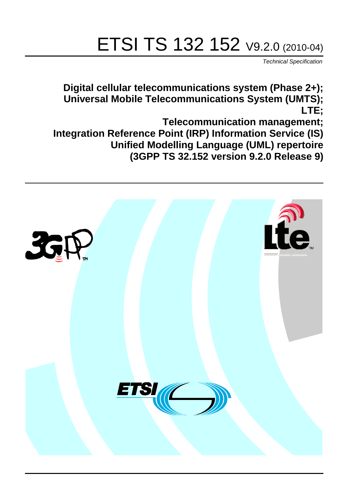# ETSI TS 132 152 V9.2.0 (2010-04)

*Technical Specification*

**Digital cellular telecommunications system (Phase 2+); Universal Mobile Telecommunications System (UMTS); LTE;**

**Telecommunication management; Integration Reference Point (IRP) Information Service (IS) Unified Modelling Language (UML) repertoire (3GPP TS 32.152 version 9.2.0 Release 9)**

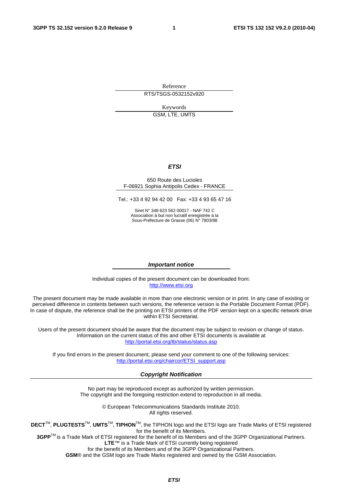Reference RTS/TSGS-0532152v920

Keywords

GSM, LTE, UMTS

#### *ETSI*

#### 650 Route des Lucioles F-06921 Sophia Antipolis Cedex - FRANCE

Tel.: +33 4 92 94 42 00 Fax: +33 4 93 65 47 16

Siret N° 348 623 562 00017 - NAF 742 C Association à but non lucratif enregistrée à la Sous-Préfecture de Grasse (06) N° 7803/88

#### *Important notice*

Individual copies of the present document can be downloaded from: [http://www.etsi.org](http://www.etsi.org/)

The present document may be made available in more than one electronic version or in print. In any case of existing or perceived difference in contents between such versions, the reference version is the Portable Document Format (PDF). In case of dispute, the reference shall be the printing on ETSI printers of the PDF version kept on a specific network drive within ETSI Secretariat.

Users of the present document should be aware that the document may be subject to revision or change of status. Information on the current status of this and other ETSI documents is available at <http://portal.etsi.org/tb/status/status.asp>

If you find errors in the present document, please send your comment to one of the following services: [http://portal.etsi.org/chaircor/ETSI\\_support.asp](http://portal.etsi.org/chaircor/ETSI_support.asp)

#### *Copyright Notification*

No part may be reproduced except as authorized by written permission. The copyright and the foregoing restriction extend to reproduction in all media.

> © European Telecommunications Standards Institute 2010. All rights reserved.

**DECT**TM, **PLUGTESTS**TM, **UMTS**TM, **TIPHON**TM, the TIPHON logo and the ETSI logo are Trade Marks of ETSI registered for the benefit of its Members.

**3GPP**TM is a Trade Mark of ETSI registered for the benefit of its Members and of the 3GPP Organizational Partners. **LTE**™ is a Trade Mark of ETSI currently being registered

for the benefit of its Members and of the 3GPP Organizational Partners.

**GSM**® and the GSM logo are Trade Marks registered and owned by the GSM Association.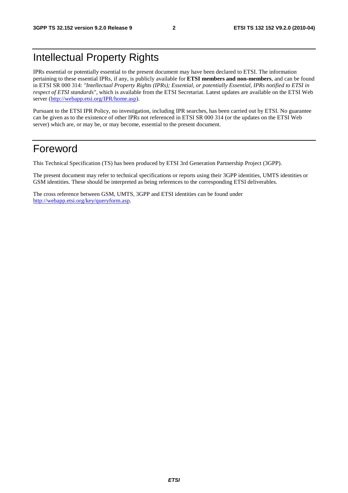# Intellectual Property Rights

IPRs essential or potentially essential to the present document may have been declared to ETSI. The information pertaining to these essential IPRs, if any, is publicly available for **ETSI members and non-members**, and can be found in ETSI SR 000 314: *"Intellectual Property Rights (IPRs); Essential, or potentially Essential, IPRs notified to ETSI in respect of ETSI standards"*, which is available from the ETSI Secretariat. Latest updates are available on the ETSI Web server ([http://webapp.etsi.org/IPR/home.asp\).](http://webapp.etsi.org/IPR/home.asp)

Pursuant to the ETSI IPR Policy, no investigation, including IPR searches, has been carried out by ETSI. No guarantee can be given as to the existence of other IPRs not referenced in ETSI SR 000 314 (or the updates on the ETSI Web server) which are, or may be, or may become, essential to the present document.

# Foreword

This Technical Specification (TS) has been produced by ETSI 3rd Generation Partnership Project (3GPP).

The present document may refer to technical specifications or reports using their 3GPP identities, UMTS identities or GSM identities. These should be interpreted as being references to the corresponding ETSI deliverables.

The cross reference between GSM, UMTS, 3GPP and ETSI identities can be found under [http://webapp.etsi.org/key/queryform.asp.](http://webapp.etsi.org/key/queryform.asp)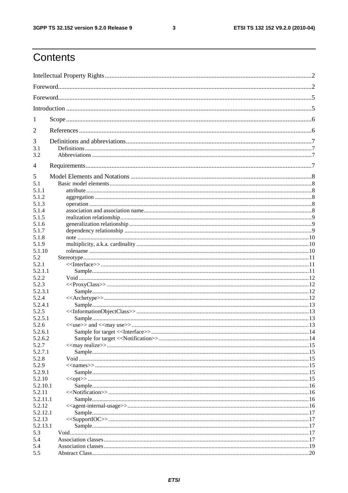#### $\mathbf{3}$

# Contents

| 1            |  |  |  |  |  |
|--------------|--|--|--|--|--|
| 2            |  |  |  |  |  |
| 3            |  |  |  |  |  |
| 3.1          |  |  |  |  |  |
| 3.2          |  |  |  |  |  |
| 4            |  |  |  |  |  |
| 5            |  |  |  |  |  |
| 5.1          |  |  |  |  |  |
| 5.1.1        |  |  |  |  |  |
| 5.1.2        |  |  |  |  |  |
| 5.1.3        |  |  |  |  |  |
| 5.1.4        |  |  |  |  |  |
| 5.1.5        |  |  |  |  |  |
| 5.1.6        |  |  |  |  |  |
| 5.1.7        |  |  |  |  |  |
| 5.1.8        |  |  |  |  |  |
| 5.1.9        |  |  |  |  |  |
| 5.1.10       |  |  |  |  |  |
| 5.2<br>5.2.1 |  |  |  |  |  |
| 5.2.1.1      |  |  |  |  |  |
| 5.2.2        |  |  |  |  |  |
| 5.2.3        |  |  |  |  |  |
| 5.2.3.1      |  |  |  |  |  |
| 5.2.4        |  |  |  |  |  |
| 5.2.4.1      |  |  |  |  |  |
| 5.2.5        |  |  |  |  |  |
| 5.2.5.1      |  |  |  |  |  |
| 5.2.6        |  |  |  |  |  |
| 5.2.6.1      |  |  |  |  |  |
| 5.2.6.2      |  |  |  |  |  |
| 5.2.7        |  |  |  |  |  |
| 5.2.7.1      |  |  |  |  |  |
| 5.2.8        |  |  |  |  |  |
| 5.2.9        |  |  |  |  |  |
| 5.2.9.1      |  |  |  |  |  |
| 5.2.10       |  |  |  |  |  |
| 5.2.10.1     |  |  |  |  |  |
| 5.2.11       |  |  |  |  |  |
| 5.2.11.1     |  |  |  |  |  |
| 5.2.12       |  |  |  |  |  |
| 5.2.12.1     |  |  |  |  |  |
| 5.2.13       |  |  |  |  |  |
| 5.2.13.1     |  |  |  |  |  |
| 5.3          |  |  |  |  |  |
| 5.4          |  |  |  |  |  |
| 5.4          |  |  |  |  |  |
| 5.5          |  |  |  |  |  |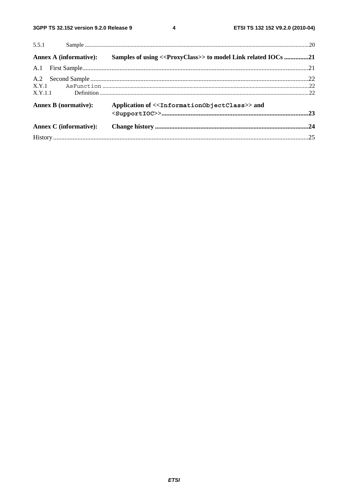$\overline{\mathbf{4}}$ 

| 5.5.1                         |                                                                            |  |
|-------------------------------|----------------------------------------------------------------------------|--|
| Annex A (informative):        | Samples of using << ProxyClass>> to model Link related IOCs 21             |  |
|                               |                                                                            |  |
|                               |                                                                            |  |
|                               |                                                                            |  |
| X.Y.1.1                       |                                                                            |  |
| <b>Annex B</b> (normative):   | Application of < <informationobjectclass>&gt; and</informationobjectclass> |  |
|                               |                                                                            |  |
| <b>Annex C</b> (informative): |                                                                            |  |
|                               |                                                                            |  |
|                               |                                                                            |  |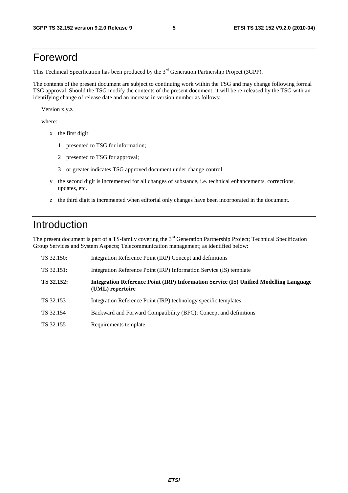# Foreword

This Technical Specification has been produced by the 3<sup>rd</sup> Generation Partnership Project (3GPP).

The contents of the present document are subject to continuing work within the TSG and may change following formal TSG approval. Should the TSG modify the contents of the present document, it will be re-released by the TSG with an identifying change of release date and an increase in version number as follows:

Version x.y.z

where:

- x the first digit:
	- 1 presented to TSG for information;
	- 2 presented to TSG for approval;
	- 3 or greater indicates TSG approved document under change control.
- y the second digit is incremented for all changes of substance, i.e. technical enhancements, corrections, updates, etc.
- z the third digit is incremented when editorial only changes have been incorporated in the document.

# Introduction

The present document is part of a TS-family covering the 3<sup>rd</sup> Generation Partnership Project; Technical Specification Group Services and System Aspects; Telecommunication management; as identified below:

| TS 32.150: | Integration Reference Point (IRP) Concept and definitions                                                        |
|------------|------------------------------------------------------------------------------------------------------------------|
| TS 32.151: | Integration Reference Point (IRP) Information Service (IS) template                                              |
| TS 32.152: | <b>Integration Reference Point (IRP) Information Service (IS) Unified Modelling Language</b><br>(UML) repertoire |
| TS 32.153  | Integration Reference Point (IRP) technology specific templates                                                  |
| TS 32.154  | Backward and Forward Compatibility (BFC); Concept and definitions                                                |
| TS 32.155  | Requirements template                                                                                            |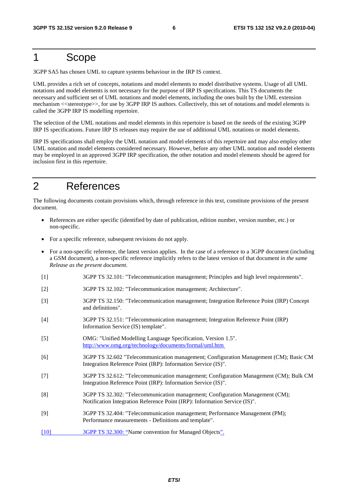# 1 Scope

3GPP SA5 has chosen UML to capture systems behaviour in the IRP IS context.

UML provides a rich set of concepts, notations and model elements to model distributive systems. Usage of all UML notations and model elements is not necessary for the purpose of IRP IS specifications. This TS documents the necessary and sufficient set of UML notations and model elements, including the ones built by the UML extension mechanism <<stereotype>>, for use by 3GPP IRP IS authors. Collectively, this set of notations and model elements is called the 3GPP IRP IS modelling repertoire.

The selection of the UML notations and model elements in this repertoire is based on the needs of the existing 3GPP IRP IS specifications. Future IRP IS releases may require the use of additional UML notations or model elements.

IRP IS specifications shall employ the UML notation and model elements of this repertoire and may also employ other UML notation and model elements considered necessary. However, before any other UML notation and model elements may be employed in an approved 3GPP IRP specification, the other notation and model elements should be agreed for inclusion first in this repertoire.

# 2 References

The following documents contain provisions which, through reference in this text, constitute provisions of the present document.

- References are either specific (identified by date of publication, edition number, version number, etc.) or non-specific.
- For a specific reference, subsequent revisions do not apply.
- For a non-specific reference, the latest version applies. In the case of a reference to a 3GPP document (including a GSM document), a non-specific reference implicitly refers to the latest version of that document *in the same Release as the present document*.
- [1] 3GPP TS 32.101: "Telecommunication management; Principles and high level requirements".
- [2] 3GPP TS 32.102: "Telecommunication management; Architecture".
- [3] 3GPP TS 32.150: "Telecommunication management; Integration Reference Point (IRP) Concept and definitions".
- [4] 3GPP TS 32.151: "Telecommunication management; Integration Reference Point (IRP) Information Service (IS) template".
- [5] OMG: "Unified Modelling Language Specification, Version 1.5". <http://www.omg.org/technology/documents/formal/uml.htm>
- [6] 3GPP TS 32.602 "Telecommunication management; Configuration Management (CM); Basic CM Integration Reference Point (IRP): Information Service (IS)".
- [7] 3GPP TS 32.612: "Telecommunication management; Configuration Management (CM); Bulk CM Integration Reference Point (IRP): Information Service (IS)".
- [8] 3GPP TS 32.302: "Telecommunication management; Configuration Management (CM); Notification Integration Reference Point (IRP): Information Service (IS)".
- [9] 3GPP TS 32.404: "Telecommunication management; Performance Management (PM); Performance measurements - Definitions and template".
- [10] 3GPP TS 32.300: "Name convention for Managed Objects".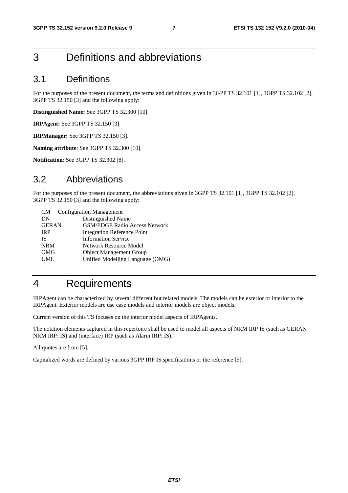# 3 Definitions and abbreviations

### 3.1 Definitions

For the purposes of the present document, the terms and definitions given in 3GPP TS 32.101 [1], 3GPP TS 32.102 [2], 3GPP TS 32.150 [3] and the following apply:

**Distinguished Name:** See 3GPP TS 32.300 [10].

**IRPAgent:** See 3GPP TS 32.150 [3].

**IRPManager:** See 3GPP TS 32.150 [3].

**Naming attribute**: See 3GPP TS 32.300 [10].

**Notification**: See 3GPP TS 32.302 [8].

### 3.2 Abbreviations

For the purposes of the present document, the abbreviations given in 3GPP TS 32.101 [1], 3GPP TS 32.102 [2], 3GPP TS 32.150 [3] and the following apply:

| <b>Configuration Management</b>      |
|--------------------------------------|
| Distinguished Name                   |
| <b>GSM/EDGE Radio Access Network</b> |
| <b>Integration Reference Point</b>   |
| <b>Information Service</b>           |
| <b>Network Resource Model</b>        |
| <b>Object Management Group</b>       |
| Unified Modelling Language (OMG)     |
|                                      |

# 4 Requirements

IRPAgent can be characterized by several different but related models. The models can be exterior or interior to the IRPAgent. Exterior models are use case models and interior models are object models.

Current version of this TS focuses on the interior model aspects of IRPAgents.

The notation elements captured in this repertoire shall be used to model all aspects of NRM IRP IS (such as GERAN NRM IRP: IS) and (interface) IRP (such as Alarm IRP: IS).

All quotes are from [5].

Capitalized words are defined by various 3GPP IRP IS specifications or the reference [5].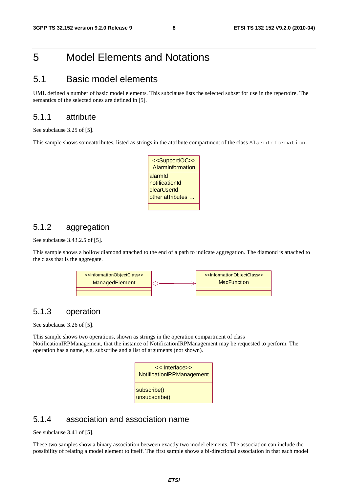# 5 Model Elements and Notations

### 5.1 Basic model elements

UML defined a number of basic model elements. This subclause lists the selected subset for use in the repertoire. The semantics of the selected ones are defined in [5].

### 5.1.1 attribute

See subclause 3.25 of [5].

This sample shows someattributes, listed as strings in the attribute compartment of the class AlarmInformation.

| < <supportioc>&gt;<br/>AlarmInformation</supportioc>         |
|--------------------------------------------------------------|
| alarmid<br>notificationId<br>clearUserId<br>other attributes |
|                                                              |

### 5.1.2 aggregation

See subclause 3.43.2.5 of [5].

This sample shows a hollow diamond attached to the end of a path to indicate aggregation. The diamond is attached to the class that is the aggregate.



### 5.1.3 operation

See subclause 3.26 of [5].

This sample shows two operations, shown as strings in the operation compartment of class NotificationIRPManagement, that the instance of NotificationIRPManagement may be requested to perform. The operation has a name, e.g. subscribe and a list of arguments (not shown).

| << Interface>><br>NotificationIRPManagement |
|---------------------------------------------|
| subscribe()<br>unsubscribe()                |

### 5.1.4 association and association name

See subclause 3.41 of [5].

These two samples show a binary association between exactly two model elements. The association can include the possibility of relating a model element to itself. The first sample shows a bi-directional association in that each model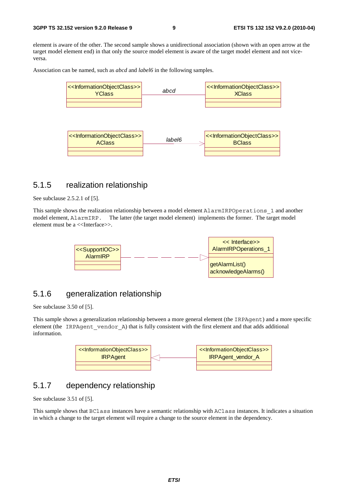element is aware of the other. The second sample shows a unidirectional association (shown with an open arrow at the target model element end) in that only the source model element is aware of the target model element and not viceversa.

Association can be named, such as *abcd* and *label6* in the following samples.



### 5.1.5 realization relationship

See subclause 2.5.2.1 of [5].

This sample shows the realization relationship between a model element AlarmIRPOperations\_1 and another model element, AlarmIRP. The latter (the target model element) implements the former. The target model element must be a <<Interface>>.



### 5.1.6 generalization relationship

See subclause 3.50 of [5].

This sample shows a generalization relationship between a more general element (the IRPAgent) and a more specific element (the IRPAgent vendor A) that is fully consistent with the first element and that adds additional information.



### 5.1.7 dependency relationship

See subclause 3.51 of [5].

This sample shows that BClass instances have a semantic relationship with AClass instances. It indicates a situation in which a change to the target element will require a change to the source element in the dependency.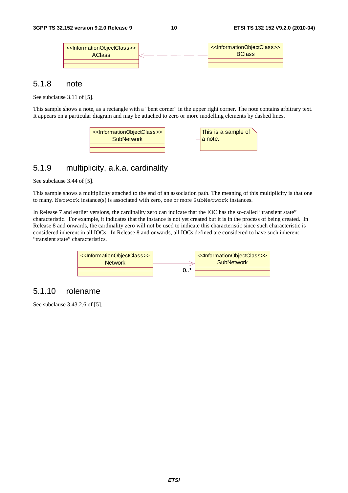| < <informationobjectclass>&gt;<br/><b>AClass</b></informationobjectclass> | < <informationobjectclass>&gt;<br/><b>BClass</b></informationobjectclass> |
|---------------------------------------------------------------------------|---------------------------------------------------------------------------|
|                                                                           |                                                                           |
|                                                                           |                                                                           |

### 5.1.8 note

See subclause 3.11 of [5].

This sample shows a note, as a rectangle with a "bent corner" in the upper right corner. The note contains arbitrary text. It appears on a particular diagram and may be attached to zero or more modelling elements by dashed lines.



### 5.1.9 multiplicity, a.k.a. cardinality

See subclause 3.44 of [5].

This sample shows a multiplicity attached to the end of an association path. The meaning of this multiplicity is that one to many. Network instance(s) is associated with zero, one or more SubNetwork instances.

In Release 7 and earlier versions, the cardinality zero can indicate that the IOC has the so-called "transient state" characteristic. For example, it indicates that the instance is not yet created but it is in the process of being created. In Release 8 and onwards, the cardinality zero will not be used to indicate this characteristic since such characteristic is considered inherent in all IOCs. In Release 8 and onwards, all IOCs defined are considered to have such inherent "transient state" characteristics.



### 5.1.10 rolename

See subclause 3.43.2.6 of [5].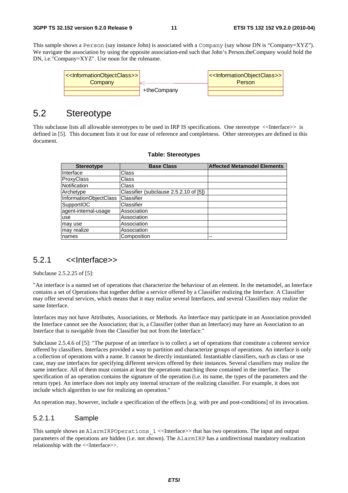This sample shows a Person (say instance John) is associated with a Company (say whose DN is "Company=XYZ"). We navigate the association by using the opposite association-end such that John's Person.theCompany would hold the DN, i.e."Company=XYZ". Use noun for the rolename.



### 5.2 Stereotype

This subclause lists all allowable stereotypes to be used in IRP IS specifications. One stereotype <<Interface>> is defined in [5]. This document lists it out for ease of reference and completness. Other stereotypes are defined in this document.

| <b>Stereotype</b>      | <b>Base Class</b>                      | <b>Affected Metamodel Elements</b> |
|------------------------|----------------------------------------|------------------------------------|
| Interface              | Class                                  |                                    |
| ProxyClass             | Class                                  |                                    |
| Notification           | Class                                  |                                    |
| Archetype              | Classifier (subclause 2.5.2.10 of [5]) |                                    |
| InformationObjectClass | <b>Classifier</b>                      |                                    |
| <b>SupportIOC</b>      | Classifier                             |                                    |
| agent-internal-usage   | Association                            |                                    |
| use                    | Association                            |                                    |
| may use                | Association                            |                                    |
| may realize            | Association                            |                                    |
| names                  | Composition                            | --                                 |

#### **Table: Stereotypes**

### 5.2.1 <<Interface>>

Subclause 2.5.2.25 of [5]:

"An interface is a named set of operations that characterize the behaviour of an element. In the metamodel, an Interface contains a set of Operations that together define a service offered by a Classifier realizing the Interface. A Classifier may offer several services, which means that it may realize several Interfaces, and several Classifiers may realize the same Interface.

Interfaces may not have Attributes, Associations, or Methods. An Interface may participate in an Association provided the Interface cannot see the Association; that is, a Classifier (other than an Interface) may have an Association to an Interface that is navigable from the Classifier but not from the Interface."

Subclause 2.5.4.6 of [5]: "The purpose of an interface is to collect a set of operations that constitute a coherent service offered by classifiers. Interfaces provided a way to partition and characterize groups of operations. An interface is only a collection of operations with a name. It cannot be directly instantiated. Instantiable classifiers, such as class or use case, may use interfaces for specifying different services offered by their instances. Several classifiers may realize the same interface. All of them must contain at least the operations matching those contained in the interface. The specification of an operation contains the signature of the operation (i.e. its name, the types of the parameters and the return type). An interface does not imply any internal structure of the realizing classifier. For example, it does not include which algorithm to use for realizing an operation."

An operation may, however, include a specification of the effects [e.g. with pre and post-conditions] of its invocation.

#### 5.2.1.1 Sample

This sample shows an AlarmIRPOperations  $1$  <<Interface>> that has two operations. The input and output parameters of the operations are hidden (i.e. not shown). The AlarmIRP has a unidirectional mandatory realization relationship with the <<Interface>>.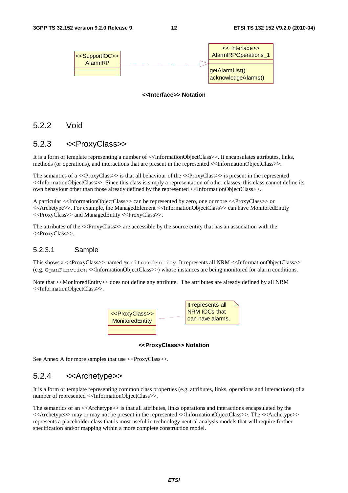

#### **<<Interface>> Notation**

### 5.2.2 Void

### 5.2.3 <<ProxyClass>>

It is a form or template representing a number of <<InformationObjectClass>>. It encapsulates attributes, links, methods (or operations), and interactions that are present in the represented <<InformationObjectClass>>.

The semantics of a <<ProxyClass>> is that all behaviour of the <<ProxyClass>> is present in the represented <<InformationObjectClass>>. Since this class is simply a representation of other classes, this class cannot define its own behaviour other than those already defined by the represented <<InformationObjectClass>>.

A particular <<InformationObjectClass>> can be represented by zero, one or more <<ProxyClass>> or <<Archetype>>. For example, the ManagedElement <<InformationObjectClass>> can have MonitoredEntity <<ProxyClass>> and ManagedEntity <<ProxyClass>>.

The attributes of the  $\langle$ -ProxyClass>> are accessible by the source entity that has an association with the <<ProxyClass>>.

#### 5.2.3.1 Sample

This shows a <<ProxyClass>> named MonitoredEntity. It represents all NRM <<InformationObjectClass>> (e.g. GgsnFunction <<InformationObjectClass>>) whose instances are being monitored for alarm conditions.

Note that <<MonitoredEntity>> does not define any attribute. The attributes are already defined by all NRM <<InformationObjectClass>>.



**<<ProxyClass>> Notation** 

See Annex A for more samples that use <<ProxyClass>>.

### 5.2.4 <<Archetype>>

It is a form or template representing common class properties (e.g. attributes, links, operations and interactions) of a number of represented <<InformationObjectClass>>.

The semantics of an  $\ll$ Archetype $\gg$  is that all attributes, links operations and interactions encapsulated by the <<Archetype>> may or may not be present in the represented <<InformationObjectClass>>. The <<Archetype>> represents a placeholder class that is most useful in technology neutral analysis models that will require further specification and/or mapping within a more complete construction model.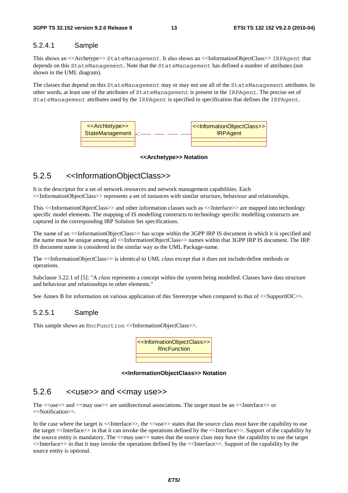#### 5.2.4.1 Sample

This shows an <<Archetype>> StateManagement. It also shows an <<InformationObjectClass>> IRPAgent that depends on this StateManagement. Note that the StateManagement has defined a number of attributes (not shown in the UML diagram).

The classes that depend on this StateManagement may or may not use all of the StateManagement attributes. In other words, at least one of the attributes of StateManagement is present in the IRPAgent. The precise set of StateManagement attributes used by the IRPAgent is specified in specification that defines the IRPAgent.



**<<Archetype>> Notation** 

### 5.2.5 <<InformationObjectClass>>

It is the descriptor for a set of network resources and network management capabilities. Each <<InformationObjectClass>> represents a set of instances with similar structure, behaviour and relationships.

This <<InformationObjectClass>> and other information classes such as <<Interface>> are mapped into technology specific model elements. The mapping of IS modelling constructs to technology specific modelling constructs are captured in the corresponding IRP Solution Set specifications.

The name of an <<InformationObjectClass>> has scope within the 3GPP IRP IS document in which it is specified and the name must be unique among all <<InformationObjectClass>> names within that 3GPP IRP IS document. The IRP IS document name is considered in the similar way as the UML Package-name.

The <<InformationObjectClass>> is identical to UML *class* except that it does not include/define methods or operations.

Subclause 3.22.1 of [5]: "A *class* represents a concept within the system being modelled. Classes have data structure and behaviour and relationships to other elements."

See Annex B for information on various application of this Stereotype when compared to that of  $\langle$ SupportIOC>>.

#### 5.2.5.1 Sample

This sample shows an RncFunction <<InformationObjectClass>>.

| < <informationobjectclass>&gt;<br/><b>RncFunction</b></informationobjectclass> |
|--------------------------------------------------------------------------------|
|                                                                                |
|                                                                                |

#### **<<InformationObjectClass>> Notation**

#### $5.2.6$  << use >> and << may use >>

The <<use>> and <<may use>> are unidirectional associations. The target must be an <<Interface>> or <<Notification>>.

In the case where the target is  $\langle\langle\langle\langle\rangle\rangle\rangle$  the  $\langle\langle\langle\rangle\rangle\rangle\rangle\rangle\rangle$  states that the source class must have the capability to use the target <<Interface>> in that it can invoke the operations defined by the <<Interface>>. Support of the capability by the source entity is mandatory. The  $\leq$ may use $\geq$  states that the source class may have the capability to use the target <<Interface>> in that it may invoke the operations defined by the <<Interface>>. Support of the capability by the source entity is optional.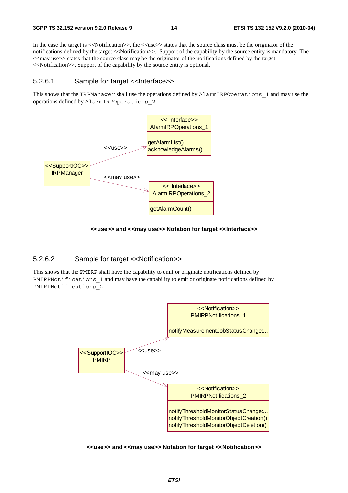In the case the target is  $\ll$ Notification  $\gg$ , the  $\ll$ use  $\gg$  states that the source class must be the originator of the notifications defined by the target <<Notification>>. Support of the capability by the source entity is mandatory. The <<may use>> states that the source class may be the originator of the notifications defined by the target <<Notification>>. Support of the capability by the source entity is optional.

#### 5.2.6.1 Sample for target <<Interface>>

This shows that the IRPManager shall use the operations defined by AlarmIRPOperations\_1 and may use the operations defined by AlarmIRPOperations\_2.



#### **<<use>> and <<may use>> Notation for target <<Interface>>**

#### 5.2.6.2 Sample for target <<Notification>>

This shows that the PMIRP shall have the capability to emit or originate notifications defined by PMIRPNotifications 1 and may have the capability to emit or originate notifications defined by PMIRPNotifications\_2.



#### **<<use>> and <<may use>> Notation for target <<Notification>>**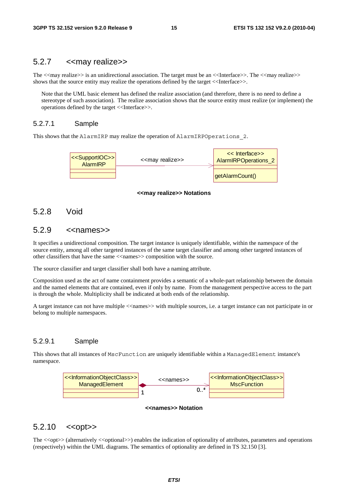### 5.2.7 << may realize >>

The  $\langle\langle \text{may realize}\rangle\rangle$  is an unidirectional association. The target must be an  $\langle\langle \text{Interface}\rangle\rangle$ . The  $\langle\langle \text{may realize}\rangle\rangle$ shows that the source entity may realize the operations defined by the target  $\ll$ Interface $\gg$ .

Note that the UML basic element has defined the realize association (and therefore, there is no need to define a stereotype of such association). The realize association shows that the source entity must realize (or implement) the operations defined by the target <<Interface>>.

#### 5.2.7.1 Sample

This shows that the AlarmIRP may realize the operation of AlarmIRPOperations 2.



#### **<<may realize>> Notations**

### 5.2.8 Void

### $5.2.9$   $\leq$ names $\geq$

It specifies a unidirectional composition. The target instance is uniquely identifiable, within the namespace of the source entity, among all other targeted instances of the same target classifier and among other targeted instances of other classifiers that have the same <<names>> composition with the source.

The source classifier and target classifier shall both have a naming attribute.

Composition used as the act of name containment provides a semantic of a whole-part relationship between the domain and the named elements that are contained, even if only by name. From the management perspective access to the part is through the whole. Multiplicity shall be indicated at both ends of the relationship.

A target instance can not have multiple <<names>> with multiple sources, i.e. a target instance can not participate in or belong to multiple namespaces.

#### 5.2.9.1 Sample

This shows that all instances of MscFunction are uniquely identifiable within a ManagedElement instance's namespace.



#### **<<names>> Notation**

### 5.2.10 << opt>>>

The <<opt>> (alternatively <<optional>>) enables the indication of optionality of attributes, parameters and operations (respectively) within the UML diagrams. The semantics of optionality are defined in TS 32.150 [3].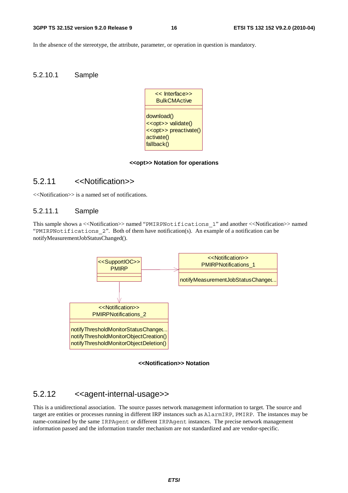In the absence of the stereotype, the attribute, parameter, or operation in question is mandatory.

#### 5.2.10.1 Sample



#### **<<opt>> Notation for operations**

### 5.2.11 <<Notification>>

<<Notification>> is a named set of notifications.

#### 5.2.11.1 Sample

This sample shows a <<Notification>> named "PMIRPNotifications\_1" and another <<Notification>> named "PMIRPNotifications\_2". Both of them have notification(s). An example of a notification can be notifyMeasurementJobStatusChanged().





### 5.2.12 <<agent-internal-usage>>

This is a unidirectional association. The source passes network management information to target. The source and target are entities or processes running in different IRP instances such as AlarmIRP, PMIRP. The instances may be name-contained by the same IRPAgent or different IRPAgent instances. The precise network management information passed and the information transfer mechanism are not standardized and are vendor-specific.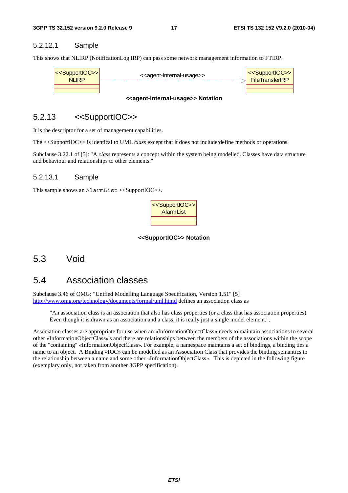#### 5.2.12.1 Sample

This shows that NLIRP (NotificationLog IRP) can pass some network management information to FTIRP.



#### **<<agent-internal-usage>> Notation**

### 5.2.13 <<SupportIOC>>

It is the descriptor for a set of management capabilities.

The <<SupportIOC>> is identical to UML *class* except that it does not include/define methods or operations.

Subclause 3.22.1 of [5]: "A *class* represents a concept within the system being modelled. Classes have data structure and behaviour and relationships to other elements."

#### 5.2.13.1 Sample

This sample shows an AlarmList  $\langle$ SupportIOC $\rangle$ >.



#### **<<SupportIOC>> Notation**

### 5.3 Void

### 5.4 Association classes

Subclause 3.46 of OMG: "Unified Modelling Language Specification, Version 1.51" [5] [http://www.omg.org/technology/documents/formal/uml.htmd d](http://www.omg.org/technology/documents/formal/uml.htmd)efines an association class as

"An association class is an association that also has class properties (or a class that has association properties). Even though it is drawn as an association and a class, it is really just a single model element.".

Association classes are appropriate for use when an «InformationObjectClass» needs to maintain associations to several other «InformationObjectClass»'s and there are relationships between the members of the associations within the scope of the "containing" «InformationObjectClass». For example, a namespace maintains a set of bindings, a binding ties a name to an object. A Binding «IOC» can be modelled as an Association Class that provides the binding semantics to the relationship between a name and some other «InformationObjectClass». This is depicted in the following figure (exemplary only, not taken from another 3GPP specification).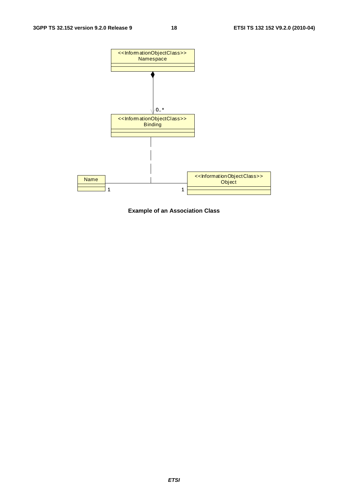

**Example of an Association Class**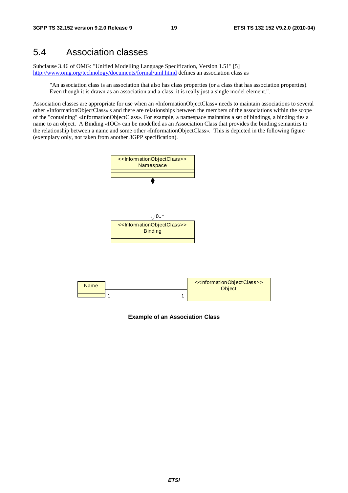### 5.4 Association classes

Subclause 3.46 of OMG: "Unified Modelling Language Specification, Version 1.51" [5] [http://www.omg.org/technology/documents/formal/uml.htmd d](http://www.omg.org/technology/documents/formal/uml.htmd)efines an association class as

"An association class is an association that also has class properties (or a class that has association properties). Even though it is drawn as an association and a class, it is really just a single model element.".

Association classes are appropriate for use when an «InformationObjectClass» needs to maintain associations to several other «InformationObjectClass»'s and there are relationships between the members of the associations within the scope of the "containing" «InformationObjectClass». For example, a namespace maintains a set of bindings, a binding ties a name to an object. A Binding «IOC» can be modelled as an Association Class that provides the binding semantics to the relationship between a name and some other «InformationObjectClass». This is depicted in the following figure (exemplary only, not taken from another 3GPP specification).



**Example of an Association Class**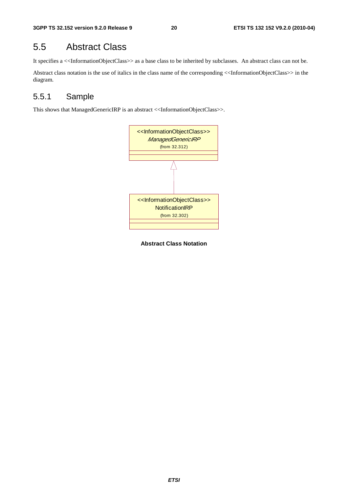## 5.5 Abstract Class

It specifies a <<InformationObjectClass>> as a base class to be inherited by subclasses. An abstract class can not be.

Abstract class notation is the use of italics in the class name of the corresponding <<InformationObjectClass>> in the diagram.

### 5.5.1 Sample

This shows that ManagedGenericIRP is an abstract <<InformationObjectClass>>.



**Abstract Class Notation**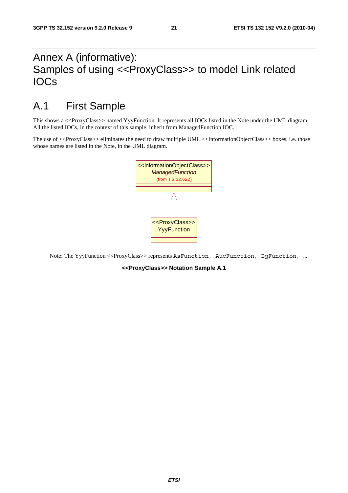# Annex A (informative): Samples of using <<ProxyClass>> to model Link related IOCs

# A.1 First Sample

This shows a <<ProxyClass>> named YyyFunction. It represents all IOCs listed in the Note under the UML diagram. All the listed IOCs, in the context of this sample, inherit from ManagedFunction IOC.

The use of <<ProxyClass>> eliminates the need to draw multiple UML <<InformationObjectClass>> boxes, i.e. those whose names are listed in the Note, in the UML diagram.



Note: The YyyFunction <<ProxyClass>> represents AsFunction, AucFunction, BgFunction, …

**<<ProxyClass>> Notation Sample A.1**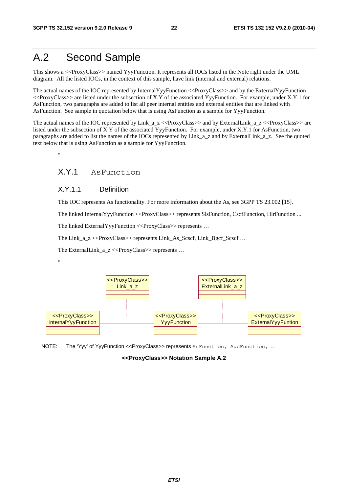# A.2 Second Sample

This shows a <<ProxyClass>> named YyyFunction. It represents all IOCs listed in the Note right under the UML diagram. All the listed IOCs, in the context of this sample, have link (internal and external) relations.

The actual names of the IOC represented by InternalYyyFunction <<ProxyClass>> and by the ExternalYyyFunction  $\ll$ ProxyClass>> are listed under the subsection of X.Y of the associated YyyFunction. For example, under X.Y.1 for AsFunction, two paragraphs are added to list all peer internal entities and external entities that are linked with AsFunction. See sample in quotation below that is using AsFunction as a sample for YyyFunction.

The actual names of the IOC represented by Link\_a\_z <<ProxyClass>> and by ExternalLink\_a\_z <<ProxyClass>> are listed under the subsection of X.Y of the associated YyyFunction. For example, under X.Y.1 for AsFunction, two paragraphs are added to list the names of the IOCs represented by Link\_a\_z and by ExternalLink\_a\_z. See the quoted text below that is using AsFunction as a sample for YyyFunction.

.,

### X.Y.1 AsFunction

#### X.Y.1.1 Definition

This IOC represents As functionality. For more information about the As, see 3GPP TS 23.002 [15].

The linked InternalYyyFunction <<ProxyClass>> represents SlsFunction, CscfFunction, HlrFunction ...

The linked ExternalYyyFunction <<ProxyClass>> represents ...

The Link\_a\_z <<ProxyClass>> represents Link\_As\_Scscf, Link\_Bgcf\_Scscf ...

The ExternalLink\_a\_z <<ProxyClass>> represents ...





NOTE: The 'Yyy' of YyyFunction <<ProxyClass>> represents AsFunction, AucFunction, ...

**<<ProxyClass>> Notation Sample A.2**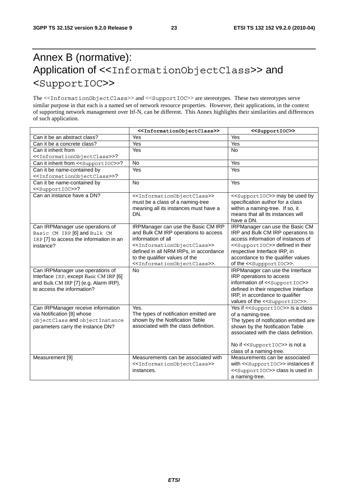# Annex B (normative): Application of <<InformationObjectClass>> and <SupportIOC>>

The <<InformationObjectClass>> and <<SupportIOC>> are stereotypes. These two stereotypes serve similar purpose in that each is a named set of network resource properties. However, their applications, in the context of supporting network management over Itf-N, can be different. This Annex highlights their similarities and differences of such application.

|                                                                     | < <informationobjectclass>&gt;</informationobjectclass>  | < <supportioc>&gt;</supportioc>                                                   |
|---------------------------------------------------------------------|----------------------------------------------------------|-----------------------------------------------------------------------------------|
| Can it be an abstract class?                                        | Yes                                                      | Yes                                                                               |
| Can it be a concrete class?                                         | Yes                                                      | Yes                                                                               |
| Can it inherit from                                                 | Yes                                                      | <b>No</b>                                                                         |
| < <informationobjectclass>&gt;?</informationobjectclass>            |                                                          |                                                                                   |
| Can it inherit from << SupportIOC>>?                                | <b>No</b>                                                | Yes                                                                               |
| Can it be name-contained by                                         | Yes                                                      | Yes                                                                               |
| < <informationobjectclass>&gt;?</informationobjectclass>            |                                                          |                                                                                   |
| Can it be name-contained by                                         | <b>No</b>                                                | Yes                                                                               |
| < <supportioc>&gt;?</supportioc>                                    |                                                          |                                                                                   |
| Can an instance have a DN?                                          | < <informationobjectclass>&gt;</informationobjectclass>  | < <supportioc>&gt; may be used by</supportioc>                                    |
|                                                                     | must be a class of a naming-tree                         | specification author for a class                                                  |
|                                                                     | meaning all its instances must have a                    | within a naming-tree. If so, it                                                   |
|                                                                     | DN.                                                      | means that all its instances will                                                 |
|                                                                     |                                                          | have a DN.                                                                        |
| Can IRPManager use operations of                                    | IRPManager can use the Basic CM IRP                      | IRPManager can use the Basic CM                                                   |
| Basic CM IRP [6] and Bulk CM                                        | and Bulk CM IRP operations to access                     | IRP and Bulk CM IRP operations to                                                 |
| IRP [7] to access the information in an                             | information of all                                       | access information of instances of                                                |
| instance?                                                           | < <informationobjectclass>&gt;</informationobjectclass>  | < <supportioc>&gt; defined in their</supportioc>                                  |
|                                                                     | defined in all NRM IRPs, in accordance                   | respective Interface IRP, in                                                      |
|                                                                     | to the qualifier values of the                           | accordance to the qualifier values                                                |
|                                                                     | < <informationobjectclass>&gt;.</informationobjectclass> | of the < <suppportioc>&gt;.</suppportioc>                                         |
| Can IRPManager use operations of                                    | <b>No</b>                                                | IRPManager can use the Interface                                                  |
| Interface IRP, except Basic CM IRP [6]                              |                                                          | IRP operations to access                                                          |
| and Bulk CM IRP [7] (e.g. Alarm IRP),<br>to access the information? |                                                          | information of < <supportioc>&gt;</supportioc>                                    |
|                                                                     |                                                          | defined in their respective Interface                                             |
|                                                                     |                                                          | IRP, in accordance to qualifier<br>values of the < <supportioc>&gt;.</supportioc> |
| Can IRPManager receive information                                  | Yes.                                                     | Yes if < <supportioc>&gt; is a class</supportioc>                                 |
| via Notification [8] whose                                          | The types of notification emitted are                    | of a naming-tree.                                                                 |
| objectClass and objectInstance                                      | shown by the Notification Table                          | The types of notification emitted are                                             |
| parameters carry the instance DN?                                   | associated with the class definition.                    | shown by the Notification Table                                                   |
|                                                                     |                                                          | associated with the class definition.                                             |
|                                                                     |                                                          |                                                                                   |
|                                                                     |                                                          | No if < <supportioc>&gt; is not a</supportioc>                                    |
|                                                                     |                                                          | class of a naming-tree.                                                           |
| Measurement [9]                                                     | Measurements can be associated with                      | Measurements can be associated                                                    |
|                                                                     | < <informationobjectclass>&gt;</informationobjectclass>  | with < <supportioc>&gt; instances if</supportioc>                                 |
|                                                                     | instances.                                               | < <supportioc>&gt; class is used in</supportioc>                                  |
|                                                                     |                                                          | a naming-tree.                                                                    |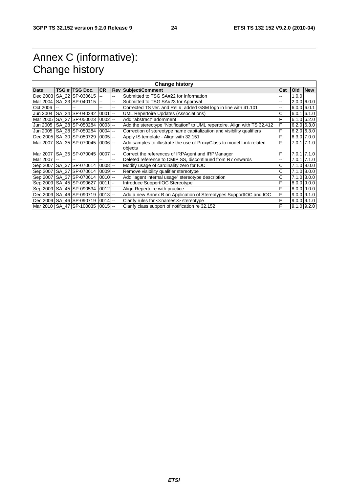# Annex C (informative): Change history

| <b>Change history</b> |  |                              |            |                          |                                                                                  |     |             |                 |
|-----------------------|--|------------------------------|------------|--------------------------|----------------------------------------------------------------------------------|-----|-------------|-----------------|
| Date                  |  | TSG #  TSG Doc.              | <b>CR</b>  |                          | <b>Rev Subject/Comment</b>                                                       | Cat | Old         | <b>New</b>      |
| Dec 2003              |  | SA 22 SP-030615              |            | --                       | Submitted to TSG SA#22 for Information                                           | --  | 1.0.0       |                 |
| Mar 2004              |  | SA 23 SP-040115              |            | -−                       | Submitted to TSG SA#23 for Approval                                              |     |             | $2.0.0$ 6.0.0   |
| Oct 2006              |  | $\overline{a}$               | Ξ.         | --                       | Corrected TS ver. and Rel #; added GSM logo in line with 41.101                  | --  | 6.0.060.0.1 |                 |
| Jun 2004              |  | SA 24 SP-040242              | $0001$ --  |                          | <b>UML Repertoire Updates (Associations)</b>                                     | С   |             | $6.0.1$ 6.1.0   |
| Mar 2005              |  | SA 27 SP-050023              | $0002$ --  |                          | Add "abstract" adornment                                                         | F   |             | 6.1.0 6.2.0     |
|                       |  | Jun 2005   SA 28 SP-050284   | $ 0003  -$ |                          | Add the stereotype "Notification" to UML repertoire. Align with TS 32.412        | F   |             | $6.2.0$ 6.3.0   |
| Jun 2005              |  | SA 28 SP-050284              | $0004$ --  |                          | Correction of stereotype name capitalization and visibility qualifiers           | F   |             | $6.2.0$ 6.3.0   |
|                       |  | Dec 2005 SA 30 SP-050729     | $0005$ $-$ |                          | Apply IS template - Align with 32.151                                            | F   |             | $6.3.0$ 7.0.0   |
|                       |  | Mar 2007 SA 35 SP-070045     | $0006$ $-$ |                          | Add samples to illustrate the use of ProxyClass to model Link related<br>objects | F   |             | 7.0.1 7.1.0     |
|                       |  | Mar 2007 SA 35 SP-070045     | $0007$ --  |                          | Correct the references of IRPAgent and IRPManager                                | F   |             | $7.0.1$ 7.1.0   |
| Mar 2007              |  |                              |            | $\overline{\phantom{a}}$ | Deleted reference to CMIP SS, discontinued from R7 onwards                       | --  |             | $7.0.1$ $7.1.0$ |
|                       |  | Sep 2007 SA 37 SP-070614     | $0008$ $-$ |                          | Modify usage of cardinality zero for IOC                                         | С   |             | $7.1.0$ 8.0.0   |
|                       |  | Sep 2007   SA 37   SP-070614 | $0009$ $-$ |                          | Remove visibility qualifier stereotype                                           | С   |             | 7.1.0 8.0.0     |
|                       |  | Sep 2007   SA_37   SP-070614 | $0010$ --  |                          | Add "agent internal usage" stereotype description                                | С   |             | $7.1.0$ 8.0.0   |
|                       |  | Sep 2009   SA_45   SP-090627 | $0011$ -   |                          | Introduce SupportIOC Stereotype                                                  | F   |             | $8.0.0$ 9.0.0   |
|                       |  | Sep 2009 SA 45 SP-090534     | $0012$ -   |                          | Align Repertoire with practice                                                   | F   |             | $8.0.0$ 9.0.0   |
|                       |  | Dec 2009   SA_46   SP-090719 | $0013$ --  |                          | Add a new Annex B on Application of Stereotypes SupportIOC and IOC               | F   |             | $9.0.0$ $9.1.0$ |
|                       |  | Dec 2009 SA 46 SP-090719     | $0014$ --  |                          | Clarify rules for << names>> stereotype                                          | F   |             | $9.0.0$ 9.1.0   |
|                       |  | Mar 2010 SA 47 SP-100035     | $0015$ $-$ |                          | Clarify class support of notification re 32.152                                  | E   |             | $9.1.0$ $9.2.0$ |